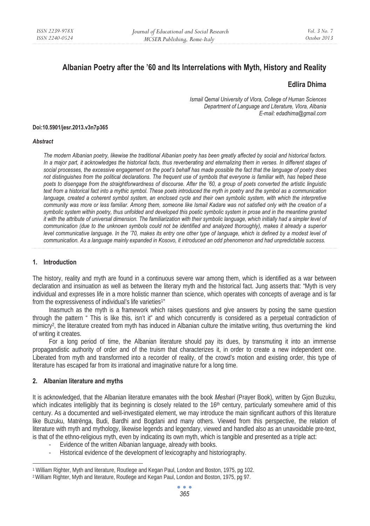# **Albanian Poetry after the '60 and Its Interrelations with Myth, History and Reality**

## **Edlira Dhima**

 *Ismail Qemal University of Vlora, College of Human Sciences Department of Language and Literature, Vlora, Albania E-mail: edadhima@gmail.com* 

#### **Doi:10.5901/jesr.2013.v3n7p365**

#### *Abstract*

*The modern Albanian poetry, likewise the traditional Albanian poetry has been greatly affected by social and historical factors. In a major part, it acknowledges the historical facts, thus reverberating and eternalizing them in verses. In different stages of social processes, the excessive engagement on the poet's behalf has made possible the fact that the language of poetry does not distinguishes from the political declarations. The frequent use of symbols that everyone is familiar with, has helped these poets to disengage from the straightforwardness of discourse. After the '60, a group of poets converted the artistic linguistic text from a historical fact into a mythic symbol. These poets introduced the myth in poetry and the symbol as a communication language, created a coherent symbol system, an enclosed cycle and their own symbolic system, with which the interpretive community was more or less familiar. Among them, someone like Ismail Kadare was not satisfied only with the creation of a symbolic system within poetry, thus unfolded and developed this poetic symbolic system in prose and in the meantime granted it with the attribute of universal dimension. The familiarization with their symbolic language, which initially had a simpler level of communication (due to the unknown symbols could not be identified and analyzed thoroughly), makes it already a superior level communicative language. In the '70, makes its entry one other type of language, which is defined by a modest level of communication. As a language mainly expanded in Kosovo, it introduced an odd phenomenon and had unpredictable success.* 

### **1. Introduction**

The history, reality and myth are found in a continuous severe war among them, which is identified as a war between declaration and insinuation as well as between the literary myth and the historical fact. Jung asserts that: "Myth is very individual and expresses life in a more holistic manner than science, which operates with concepts of average and is far from the expressiveness of individual's life varieties<sup>1"</sup>

Inasmuch as the myth is a framework which raises questions and give answers by posing the same question through the pattern " This is like this, isn't it" and which concurrently is considered as a perpetual contradiction of mimicry<sup>2</sup>, the literature created from myth has induced in Albanian culture the imitative writing, thus overturning the kind of writing it creates.

For a long period of time, the Albanian literature should pay its dues, by transmuting it into an immense propagandistic authority of order and of the truism that characterizes it, in order to create a new independent one. Liberated from myth and transformed into a recorder of reality, of the crowd's motion and existing order, this type of literature has escaped far from its irrational and imaginative nature for a long time.

#### **2. Albanian literature and myths**

It is acknowledged, that the Albanian literature emanates with the book *Meshari* (Prayer Book), written by Gjon Buzuku, which indicates intelligibly that its beginning is closely related to the  $16<sup>th</sup>$  century, particularly somewhere amid of this century. As a documented and well-investigated element, we may introduce the main significant authors of this literature like Buzuku, Matrënga, Budi, Bardhi and Bogdani and many others. Viewed from this perspective, the relation of literature with myth and mythology, likewise legends and legendary, viewed and handled also as an unavoidable pre-text, is that of the ethno-religious myth, even by indicating its own myth, which is tangible and presented as a triple act:

- Evidence of the written Albanian language, already with books.
- Historical evidence of the development of lexicography and historiography.

<sup>1</sup> William Righter, Myth and literature, Routlege and Kegan Paul, London and Boston, 1975, pg 102.<br><sup>2</sup> William Righter, Myth and literature, Routlege and Kegan Paul, London and Boston, 1975, pg 97.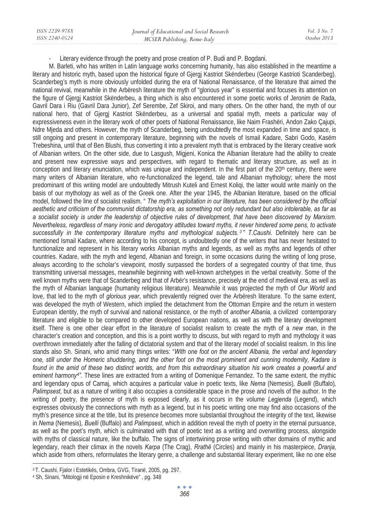Literary evidence through the poetry and prose creation of P. Budi and P. Bogdani.

M. Barleti, who has written in Latin language works concerning humanity, has also established in the meantime a literary and historic myth, based upon the historical figure of Gjergj Kastriot Skënderbeu (George Kastrioti Scanderbeg). Scanderbeg's myth is more obviously unfolded during the era of National Renaissance, of the literature that aimed the national revival, meanwhile in the Arbëresh literature the myth of "glorious year" is essential and focuses its attention on the figure of Gjergj Kastriot Skënderbeu, a thing which is also encountered in some poetic works of Jeronim de Rada, Gavril Dara i Riu (Gavril Dara Junior), Zef Serembe, Zef Skiroi, and many others. On the other hand, the myth of our national hero, that of Gjergj Kastriot Skënderbeu, as a universal and spatial myth, meets a particular way of expressiveness even in the literary work of other poets of National Renaissance, like Naim Frashëri, Andon Zako Çajupi, Ndre Mjeda and others. However, the myth of Scanderbeg, being undoubtedly the most expanded in time and space, is still ongoing and present in contemporary literature, beginning with the novels of Ismail Kadare, Sabri Godo, Kasëm Trebeshina, until that of Ben Blushi, thus converting it into a prevalent myth that is embraced by the literary creative work of Albanian writers. On the other side, due to Lasgush, Migjeni, Konica the Albanian literature had the ability to create and present new expressive ways and perspectives, with regard to thematic and literary structure, as well as in conception and literary enunciation, which was unique and independent. In the first part of the  $20<sup>th</sup>$  century, there were many writers of Albanian literature, who re-functionalized the legend, tale and Albanian mythology; where the most predominant of this writing model are undoubtedly Mitrush Kuteli and Ernest Koliqi, the latter would write mainly on the basis of our mythology as well as of the Greek one. After the year 1945, the Albanian literature, based on the official model, followed the line of socialist realism. " *The myth's exploitation in our literature, has been considered by the official aesthetic and criticism of the communist dictatorship era, as something not only redundant but also intolerable, as far as a socialist society is under the leadership of objective rules of development, that have been discovered by Marxism. Nevertheless, regardless of many ironic and derogatory attitudes toward myths, it never hindered some pens, to activate successfully in the contemporary literature myths and mythological subjects. <sup>3</sup> " T.Caushi*. Definitely here can be mentioned Ismail Kadare, where according to his concept, is undoubtedly one of the writers that has never hesitated to functionalize and represent in his literary works Albanian myths and legends, as well as myths and legends of other countries. Kadare, with the myth and legend, Albanian and foreign, in some occasions during the writing of long prose, always according to the scholar's viewpoint, mostly surpassed the borders of a segregated country of that time, thus transmitting universal messages, meanwhile beginning with well-known archetypes in the verbal creativity. Some of the well known myths were that of Scanderbeg and that of Arbër's resistance, precisely at the end of medieval era, as well as the myth of Albanian language (humanity religious literature). Meanwhile it was projected the myth of *Our World* and love, that led to the myth of *glorious year*, which prevalently reigned over the Arbëresh literature. To the same extent, was developed the myth of Western, which implied the detachment from the Ottoman Empire and the return in western European identity, the myth of survival and national resistance, or the myth of *another Albania,* a civilized contemporary literature and eligible to be compared to other developed European nations, as well as with the literary development itself. There is one other clear effort in the literature of socialist realism to create the myth of a *new man*, in the character's creation and conception, and this is a point worthy to discuss, but with regard to myth and mythology it was overthrown immediately after the falling of dictatorial system and that of the literary model of socialist realism. In this line stands also Sh. Sinani, who amid many things writes: "*With one foot on the ancient Albania, the verbal and legendary one, still under the Homeric shuddering, and the other foot on the most prominent and cunning modernity, Kadare is found in the amid of these two distinct worlds, and from this extraordinary situation his work creates a powerful and eminent harmony4".* These lines are extracted from a writing of Domenique Fernandez. To the same extent, the mythic and legendary opus of Camaj, which acquires a particular value in poetic texts, like *Nema* (Nemesis)*, Buelli* (Buffalo)*, Palimpsest*, but as a nature of writing it also occupies a considerable space in the prose and novels of the author. In the writing of poetry, the presence of myth is exposed clearly, as it occurs in the volume *Legjenda* (Legend), which expresses obviously the connections with myth as a legend, but in his poetic writing one may find also occasions of the myth's presence since at the title, but its presence becomes more substantial throughout the integrity of the text, likewise in *Nema* (Nemesis)*, Buelli* (Buffalo) and *Palimpsest*, which in addition reveal the myth of poetry in the eternal pursuance, as well as the poet's myth, which is culminated with that of poetic text as a writing and overwriting process, alongside with myths of classical nature, like the buffalo. The signs of intertwining prose writing with other domains of mythic and legendary, reach their climax in the novels *Karpa* (The Crag), *Rrathë* (Circles) and mainly in his masterpiece, *Dranja,*  which aside from others, reformulates the literary genre, a challenge and substantial literary experiment, like no one else

<sup>3</sup> T. Caushi, Fjalor i Estetikës, Ombra, GVG, Tiranë, 2005, pg. 297. 4 Sh, Sinani, "Mitologji në Eposin e Kreshnikëve" , pg. 348